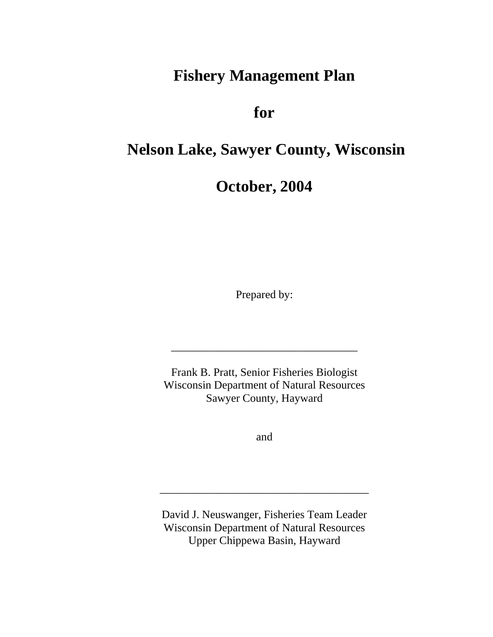## **Fishery Management Plan**

**for** 

## **Nelson Lake, Sawyer County, Wisconsin**

**October, 2004** 

Prepared by:

Frank B. Pratt, Senior Fisheries Biologist Wisconsin Department of Natural Resources Sawyer County, Hayward

\_\_\_\_\_\_\_\_\_\_\_\_\_\_\_\_\_\_\_\_\_\_\_\_\_\_\_\_\_\_\_\_\_

and

David J. Neuswanger, Fisheries Team Leader Wisconsin Department of Natural Resources Upper Chippewa Basin, Hayward

\_\_\_\_\_\_\_\_\_\_\_\_\_\_\_\_\_\_\_\_\_\_\_\_\_\_\_\_\_\_\_\_\_\_\_\_\_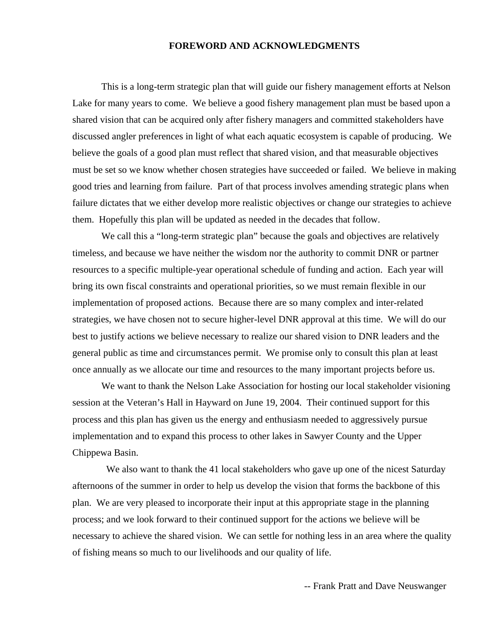#### **FOREWORD AND ACKNOWLEDGMENTS**

This is a long-term strategic plan that will guide our fishery management efforts at Nelson Lake for many years to come. We believe a good fishery management plan must be based upon a shared vision that can be acquired only after fishery managers and committed stakeholders have discussed angler preferences in light of what each aquatic ecosystem is capable of producing. We believe the goals of a good plan must reflect that shared vision, and that measurable objectives must be set so we know whether chosen strategies have succeeded or failed. We believe in making good tries and learning from failure. Part of that process involves amending strategic plans when failure dictates that we either develop more realistic objectives or change our strategies to achieve them. Hopefully this plan will be updated as needed in the decades that follow.

We call this a "long-term strategic plan" because the goals and objectives are relatively timeless, and because we have neither the wisdom nor the authority to commit DNR or partner resources to a specific multiple-year operational schedule of funding and action. Each year will bring its own fiscal constraints and operational priorities, so we must remain flexible in our implementation of proposed actions. Because there are so many complex and inter-related strategies, we have chosen not to secure higher-level DNR approval at this time. We will do our best to justify actions we believe necessary to realize our shared vision to DNR leaders and the general public as time and circumstances permit. We promise only to consult this plan at least once annually as we allocate our time and resources to the many important projects before us.

We want to thank the Nelson Lake Association for hosting our local stakeholder visioning session at the Veteran's Hall in Hayward on June 19, 2004. Their continued support for this process and this plan has given us the energy and enthusiasm needed to aggressively pursue implementation and to expand this process to other lakes in Sawyer County and the Upper Chippewa Basin.

We also want to thank the 41 local stakeholders who gave up one of the nicest Saturday afternoons of the summer in order to help us develop the vision that forms the backbone of this plan. We are very pleased to incorporate their input at this appropriate stage in the planning process; and we look forward to their continued support for the actions we believe will be necessary to achieve the shared vision. We can settle for nothing less in an area where the quality of fishing means so much to our livelihoods and our quality of life.

-- Frank Pratt and Dave Neuswanger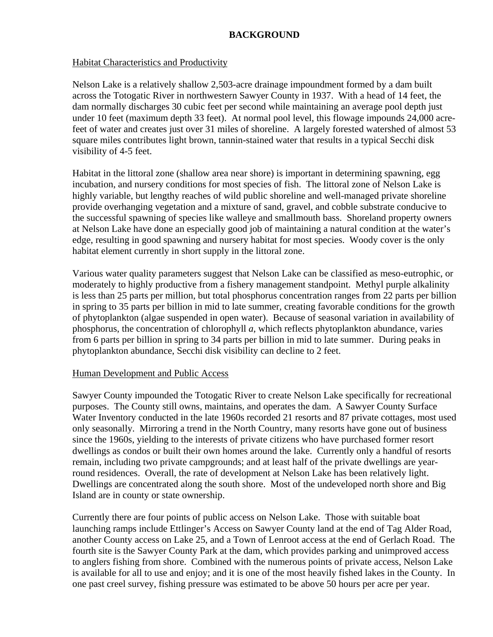#### **BACKGROUND**

#### Habitat Characteristics and Productivity

Nelson Lake is a relatively shallow 2,503-acre drainage impoundment formed by a dam built across the Totogatic River in northwestern Sawyer County in 1937. With a head of 14 feet, the dam normally discharges 30 cubic feet per second while maintaining an average pool depth just under 10 feet (maximum depth 33 feet). At normal pool level, this flowage impounds 24,000 acrefeet of water and creates just over 31 miles of shoreline. A largely forested watershed of almost 53 square miles contributes light brown, tannin-stained water that results in a typical Secchi disk visibility of 4-5 feet.

Habitat in the littoral zone (shallow area near shore) is important in determining spawning, egg incubation, and nursery conditions for most species of fish. The littoral zone of Nelson Lake is highly variable, but lengthy reaches of wild public shoreline and well-managed private shoreline provide overhanging vegetation and a mixture of sand, gravel, and cobble substrate conducive to the successful spawning of species like walleye and smallmouth bass. Shoreland property owners at Nelson Lake have done an especially good job of maintaining a natural condition at the water's edge, resulting in good spawning and nursery habitat for most species. Woody cover is the only habitat element currently in short supply in the littoral zone.

Various water quality parameters suggest that Nelson Lake can be classified as meso-eutrophic, or moderately to highly productive from a fishery management standpoint. Methyl purple alkalinity is less than 25 parts per million, but total phosphorus concentration ranges from 22 parts per billion in spring to 35 parts per billion in mid to late summer, creating favorable conditions for the growth of phytoplankton (algae suspended in open water). Because of seasonal variation in availability of phosphorus, the concentration of chlorophyll *a*, which reflects phytoplankton abundance, varies from 6 parts per billion in spring to 34 parts per billion in mid to late summer. During peaks in phytoplankton abundance, Secchi disk visibility can decline to 2 feet.

#### Human Development and Public Access

Sawyer County impounded the Totogatic River to create Nelson Lake specifically for recreational purposes. The County still owns, maintains, and operates the dam. A Sawyer County Surface Water Inventory conducted in the late 1960s recorded 21 resorts and 87 private cottages, most used only seasonally. Mirroring a trend in the North Country, many resorts have gone out of business since the 1960s, yielding to the interests of private citizens who have purchased former resort dwellings as condos or built their own homes around the lake. Currently only a handful of resorts remain, including two private campgrounds; and at least half of the private dwellings are yearround residences. Overall, the rate of development at Nelson Lake has been relatively light. Dwellings are concentrated along the south shore. Most of the undeveloped north shore and Big Island are in county or state ownership.

Currently there are four points of public access on Nelson Lake. Those with suitable boat launching ramps include Ettlinger's Access on Sawyer County land at the end of Tag Alder Road, another County access on Lake 25, and a Town of Lenroot access at the end of Gerlach Road. The fourth site is the Sawyer County Park at the dam, which provides parking and unimproved access to anglers fishing from shore. Combined with the numerous points of private access, Nelson Lake is available for all to use and enjoy; and it is one of the most heavily fished lakes in the County. In one past creel survey, fishing pressure was estimated to be above 50 hours per acre per year.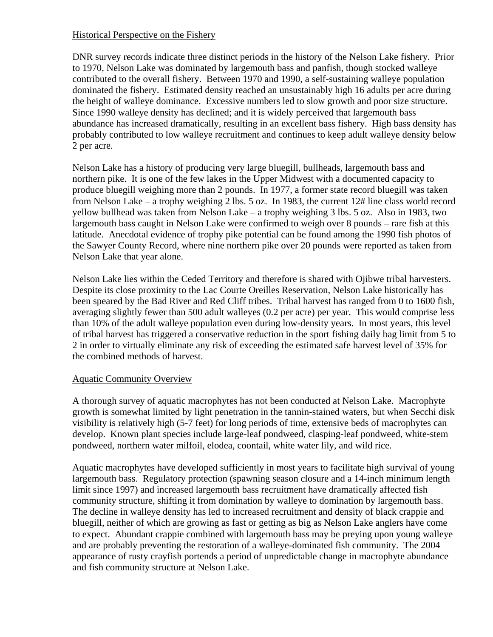#### Historical Perspective on the Fishery

DNR survey records indicate three distinct periods in the history of the Nelson Lake fishery. Prior to 1970, Nelson Lake was dominated by largemouth bass and panfish, though stocked walleye contributed to the overall fishery. Between 1970 and 1990, a self-sustaining walleye population dominated the fishery. Estimated density reached an unsustainably high 16 adults per acre during the height of walleye dominance. Excessive numbers led to slow growth and poor size structure. Since 1990 walleye density has declined; and it is widely perceived that largemouth bass abundance has increased dramatically, resulting in an excellent bass fishery. High bass density has probably contributed to low walleye recruitment and continues to keep adult walleye density below 2 per acre.

Nelson Lake has a history of producing very large bluegill, bullheads, largemouth bass and northern pike. It is one of the few lakes in the Upper Midwest with a documented capacity to produce bluegill weighing more than 2 pounds. In 1977, a former state record bluegill was taken from Nelson Lake – a trophy weighing 2 lbs. 5 oz. In 1983, the current 12# line class world record yellow bullhead was taken from Nelson Lake – a trophy weighing 3 lbs. 5 oz. Also in 1983, two largemouth bass caught in Nelson Lake were confirmed to weigh over 8 pounds – rare fish at this latitude. Anecdotal evidence of trophy pike potential can be found among the 1990 fish photos of the Sawyer County Record, where nine northern pike over 20 pounds were reported as taken from Nelson Lake that year alone.

Nelson Lake lies within the Ceded Territory and therefore is shared with Ojibwe tribal harvesters. Despite its close proximity to the Lac Courte Oreilles Reservation, Nelson Lake historically has been speared by the Bad River and Red Cliff tribes. Tribal harvest has ranged from 0 to 1600 fish, averaging slightly fewer than 500 adult walleyes (0.2 per acre) per year. This would comprise less than 10% of the adult walleye population even during low-density years. In most years, this level of tribal harvest has triggered a conservative reduction in the sport fishing daily bag limit from 5 to 2 in order to virtually eliminate any risk of exceeding the estimated safe harvest level of 35% for the combined methods of harvest.

#### Aquatic Community Overview

A thorough survey of aquatic macrophytes has not been conducted at Nelson Lake. Macrophyte growth is somewhat limited by light penetration in the tannin-stained waters, but when Secchi disk visibility is relatively high (5-7 feet) for long periods of time, extensive beds of macrophytes can develop. Known plant species include large-leaf pondweed, clasping-leaf pondweed, white-stem pondweed, northern water milfoil, elodea, coontail, white water lily, and wild rice.

Aquatic macrophytes have developed sufficiently in most years to facilitate high survival of young largemouth bass. Regulatory protection (spawning season closure and a 14-inch minimum length limit since 1997) and increased largemouth bass recruitment have dramatically affected fish community structure, shifting it from domination by walleye to domination by largemouth bass. The decline in walleye density has led to increased recruitment and density of black crappie and bluegill, neither of which are growing as fast or getting as big as Nelson Lake anglers have come to expect. Abundant crappie combined with largemouth bass may be preying upon young walleye and are probably preventing the restoration of a walleye-dominated fish community. The 2004 appearance of rusty crayfish portends a period of unpredictable change in macrophyte abundance and fish community structure at Nelson Lake.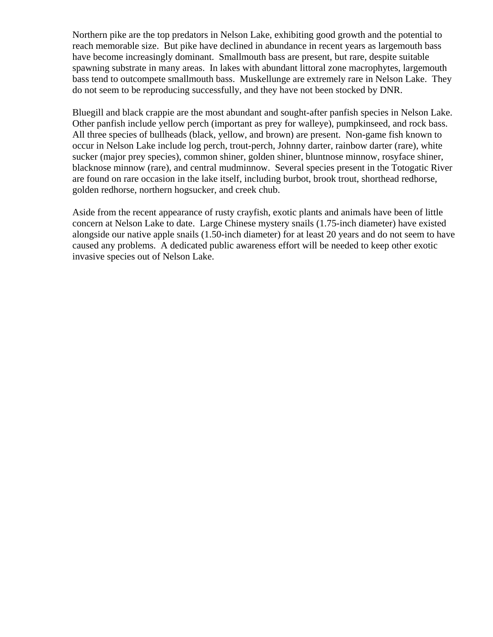Northern pike are the top predators in Nelson Lake, exhibiting good growth and the potential to reach memorable size. But pike have declined in abundance in recent years as largemouth bass have become increasingly dominant. Smallmouth bass are present, but rare, despite suitable spawning substrate in many areas. In lakes with abundant littoral zone macrophytes, largemouth bass tend to outcompete smallmouth bass. Muskellunge are extremely rare in Nelson Lake. They do not seem to be reproducing successfully, and they have not been stocked by DNR.

Bluegill and black crappie are the most abundant and sought-after panfish species in Nelson Lake. Other panfish include yellow perch (important as prey for walleye), pumpkinseed, and rock bass. All three species of bullheads (black, yellow, and brown) are present. Non-game fish known to occur in Nelson Lake include log perch, trout-perch, Johnny darter, rainbow darter (rare), white sucker (major prey species), common shiner, golden shiner, bluntnose minnow, rosyface shiner, blacknose minnow (rare), and central mudminnow. Several species present in the Totogatic River are found on rare occasion in the lake itself, including burbot, brook trout, shorthead redhorse, golden redhorse, northern hogsucker, and creek chub.

Aside from the recent appearance of rusty crayfish, exotic plants and animals have been of little concern at Nelson Lake to date. Large Chinese mystery snails (1.75-inch diameter) have existed alongside our native apple snails (1.50-inch diameter) for at least 20 years and do not seem to have caused any problems. A dedicated public awareness effort will be needed to keep other exotic invasive species out of Nelson Lake.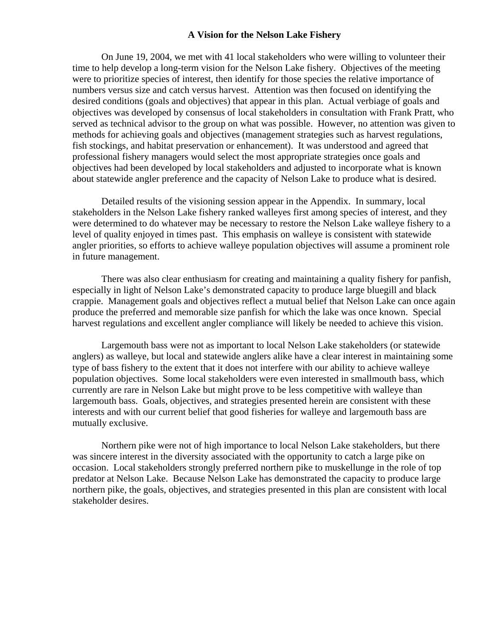#### **A Vision for the Nelson Lake Fishery**

 On June 19, 2004, we met with 41 local stakeholders who were willing to volunteer their time to help develop a long-term vision for the Nelson Lake fishery. Objectives of the meeting were to prioritize species of interest, then identify for those species the relative importance of numbers versus size and catch versus harvest. Attention was then focused on identifying the desired conditions (goals and objectives) that appear in this plan. Actual verbiage of goals and objectives was developed by consensus of local stakeholders in consultation with Frank Pratt, who served as technical advisor to the group on what was possible. However, no attention was given to methods for achieving goals and objectives (management strategies such as harvest regulations, fish stockings, and habitat preservation or enhancement). It was understood and agreed that professional fishery managers would select the most appropriate strategies once goals and objectives had been developed by local stakeholders and adjusted to incorporate what is known about statewide angler preference and the capacity of Nelson Lake to produce what is desired.

 Detailed results of the visioning session appear in the Appendix. In summary, local stakeholders in the Nelson Lake fishery ranked walleyes first among species of interest, and they were determined to do whatever may be necessary to restore the Nelson Lake walleye fishery to a level of quality enjoyed in times past. This emphasis on walleye is consistent with statewide angler priorities, so efforts to achieve walleye population objectives will assume a prominent role in future management.

 There was also clear enthusiasm for creating and maintaining a quality fishery for panfish, especially in light of Nelson Lake's demonstrated capacity to produce large bluegill and black crappie. Management goals and objectives reflect a mutual belief that Nelson Lake can once again produce the preferred and memorable size panfish for which the lake was once known. Special harvest regulations and excellent angler compliance will likely be needed to achieve this vision.

 Largemouth bass were not as important to local Nelson Lake stakeholders (or statewide anglers) as walleye, but local and statewide anglers alike have a clear interest in maintaining some type of bass fishery to the extent that it does not interfere with our ability to achieve walleye population objectives. Some local stakeholders were even interested in smallmouth bass, which currently are rare in Nelson Lake but might prove to be less competitive with walleye than largemouth bass. Goals, objectives, and strategies presented herein are consistent with these interests and with our current belief that good fisheries for walleye and largemouth bass are mutually exclusive.

 Northern pike were not of high importance to local Nelson Lake stakeholders, but there was sincere interest in the diversity associated with the opportunity to catch a large pike on occasion. Local stakeholders strongly preferred northern pike to muskellunge in the role of top predator at Nelson Lake. Because Nelson Lake has demonstrated the capacity to produce large northern pike, the goals, objectives, and strategies presented in this plan are consistent with local stakeholder desires.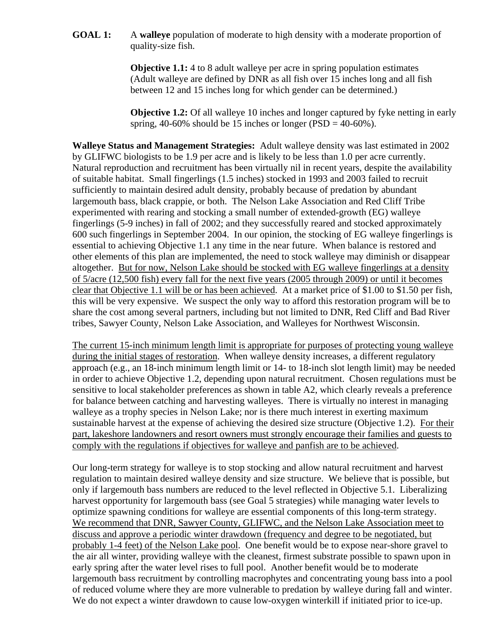**GOAL 1:** A **walleye** population of moderate to high density with a moderate proportion of quality-size fish.

> **Objective 1.1:** 4 to 8 adult walleye per acre in spring population estimates (Adult walleye are defined by DNR as all fish over 15 inches long and all fish between 12 and 15 inches long for which gender can be determined.)

**Objective 1.2:** Of all walleye 10 inches and longer captured by fyke netting in early spring, 40-60% should be 15 inches or longer ( $PSD = 40-60%$ ).

**Walleye Status and Management Strategies:** Adult walleye density was last estimated in 2002 by GLIFWC biologists to be 1.9 per acre and is likely to be less than 1.0 per acre currently. Natural reproduction and recruitment has been virtually nil in recent years, despite the availability of suitable habitat. Small fingerlings (1.5 inches) stocked in 1993 and 2003 failed to recruit sufficiently to maintain desired adult density, probably because of predation by abundant largemouth bass, black crappie, or both. The Nelson Lake Association and Red Cliff Tribe experimented with rearing and stocking a small number of extended-growth (EG) walleye fingerlings (5-9 inches) in fall of 2002; and they successfully reared and stocked approximately 600 such fingerlings in September 2004. In our opinion, the stocking of EG walleye fingerlings is essential to achieving Objective 1.1 any time in the near future. When balance is restored and other elements of this plan are implemented, the need to stock walleye may diminish or disappear altogether. But for now, Nelson Lake should be stocked with EG walleye fingerlings at a density of 5/acre (12,500 fish) every fall for the next five years (2005 through 2009) or until it becomes clear that Objective 1.1 will be or has been achieved. At a market price of \$1.00 to \$1.50 per fish, this will be very expensive. We suspect the only way to afford this restoration program will be to share the cost among several partners, including but not limited to DNR, Red Cliff and Bad River tribes, Sawyer County, Nelson Lake Association, and Walleyes for Northwest Wisconsin.

The current 15-inch minimum length limit is appropriate for purposes of protecting young walleye during the initial stages of restoration. When walleye density increases, a different regulatory approach (e.g., an 18-inch minimum length limit or 14- to 18-inch slot length limit) may be needed in order to achieve Objective 1.2, depending upon natural recruitment. Chosen regulations must be sensitive to local stakeholder preferences as shown in table A2, which clearly reveals a preference for balance between catching and harvesting walleyes. There is virtually no interest in managing walleye as a trophy species in Nelson Lake; nor is there much interest in exerting maximum sustainable harvest at the expense of achieving the desired size structure (Objective 1.2). For their part, lakeshore landowners and resort owners must strongly encourage their families and guests to comply with the regulations if objectives for walleye and panfish are to be achieved.

Our long-term strategy for walleye is to stop stocking and allow natural recruitment and harvest regulation to maintain desired walleye density and size structure. We believe that is possible, but only if largemouth bass numbers are reduced to the level reflected in Objective 5.1. Liberalizing harvest opportunity for largemouth bass (see Goal 5 strategies) while managing water levels to optimize spawning conditions for walleye are essential components of this long-term strategy. We recommend that DNR, Sawyer County, GLIFWC, and the Nelson Lake Association meet to discuss and approve a periodic winter drawdown (frequency and degree to be negotiated, but probably 1-4 feet) of the Nelson Lake pool. One benefit would be to expose near-shore gravel to the air all winter, providing walleye with the cleanest, firmest substrate possible to spawn upon in early spring after the water level rises to full pool. Another benefit would be to moderate largemouth bass recruitment by controlling macrophytes and concentrating young bass into a pool of reduced volume where they are more vulnerable to predation by walleye during fall and winter. We do not expect a winter drawdown to cause low-oxygen winterkill if initiated prior to ice-up.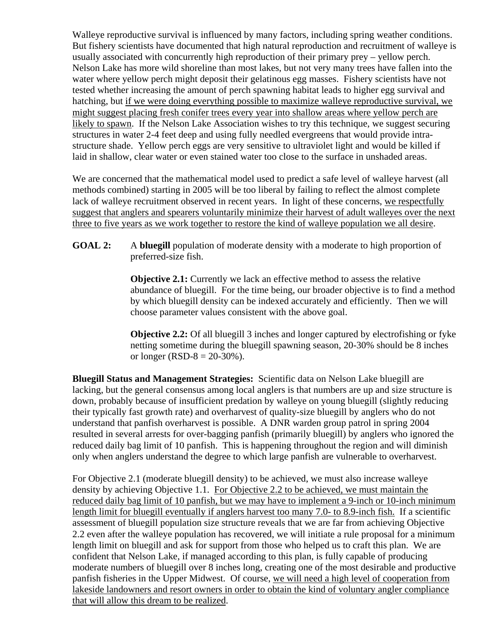Walleye reproductive survival is influenced by many factors, including spring weather conditions. But fishery scientists have documented that high natural reproduction and recruitment of walleye is usually associated with concurrently high reproduction of their primary prey – yellow perch. Nelson Lake has more wild shoreline than most lakes, but not very many trees have fallen into the water where yellow perch might deposit their gelatinous egg masses. Fishery scientists have not tested whether increasing the amount of perch spawning habitat leads to higher egg survival and hatching, but if we were doing everything possible to maximize walleye reproductive survival, we might suggest placing fresh conifer trees every year into shallow areas where yellow perch are likely to spawn. If the Nelson Lake Association wishes to try this technique, we suggest securing structures in water 2-4 feet deep and using fully needled evergreens that would provide intrastructure shade. Yellow perch eggs are very sensitive to ultraviolet light and would be killed if laid in shallow, clear water or even stained water too close to the surface in unshaded areas.

We are concerned that the mathematical model used to predict a safe level of walleye harvest (all methods combined) starting in 2005 will be too liberal by failing to reflect the almost complete lack of walleye recruitment observed in recent years. In light of these concerns, we respectfully suggest that anglers and spearers voluntarily minimize their harvest of adult walleyes over the next three to five years as we work together to restore the kind of walleye population we all desire.

**GOAL 2:** A **bluegill** population of moderate density with a moderate to high proportion of preferred-size fish.

> **Objective 2.1:** Currently we lack an effective method to assess the relative abundance of bluegill. For the time being, our broader objective is to find a method by which bluegill density can be indexed accurately and efficiently. Then we will choose parameter values consistent with the above goal.

> **Objective 2.2:** Of all bluegill 3 inches and longer captured by electrofishing or fyke netting sometime during the bluegill spawning season, 20-30% should be 8 inches or longer (RSD-8 =  $20-30%$ ).

**Bluegill Status and Management Strategies:** Scientific data on Nelson Lake bluegill are lacking, but the general consensus among local anglers is that numbers are up and size structure is down, probably because of insufficient predation by walleye on young bluegill (slightly reducing their typically fast growth rate) and overharvest of quality-size bluegill by anglers who do not understand that panfish overharvest is possible. A DNR warden group patrol in spring 2004 resulted in several arrests for over-bagging panfish (primarily bluegill) by anglers who ignored the reduced daily bag limit of 10 panfish. This is happening throughout the region and will diminish only when anglers understand the degree to which large panfish are vulnerable to overharvest.

For Objective 2.1 (moderate bluegill density) to be achieved, we must also increase walleye density by achieving Objective 1.1. For Objective 2.2 to be achieved, we must maintain the reduced daily bag limit of 10 panfish, but we may have to implement a 9-inch or 10-inch minimum length limit for bluegill eventually if anglers harvest too many 7.0- to 8.9-inch fish. If a scientific assessment of bluegill population size structure reveals that we are far from achieving Objective 2.2 even after the walleye population has recovered, we will initiate a rule proposal for a minimum length limit on bluegill and ask for support from those who helped us to craft this plan. We are confident that Nelson Lake, if managed according to this plan, is fully capable of producing moderate numbers of bluegill over 8 inches long, creating one of the most desirable and productive panfish fisheries in the Upper Midwest. Of course, we will need a high level of cooperation from lakeside landowners and resort owners in order to obtain the kind of voluntary angler compliance that will allow this dream to be realized.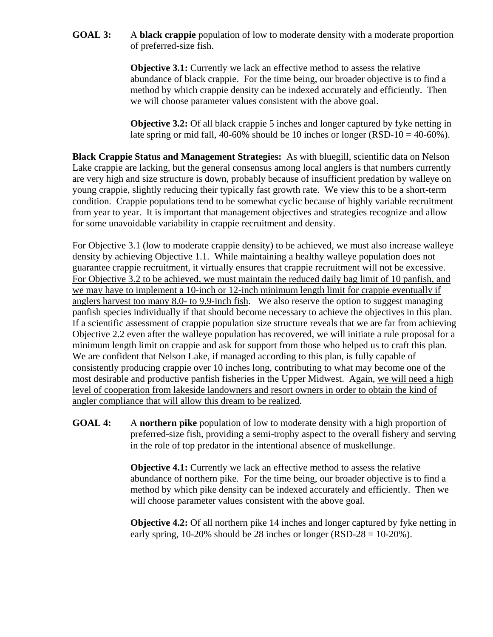**GOAL 3:** A **black crappie** population of low to moderate density with a moderate proportion of preferred-size fish.

> **Objective 3.1:** Currently we lack an effective method to assess the relative abundance of black crappie. For the time being, our broader objective is to find a method by which crappie density can be indexed accurately and efficiently. Then we will choose parameter values consistent with the above goal.

**Objective 3.2:** Of all black crappie 5 inches and longer captured by fyke netting in late spring or mid fall,  $40-60\%$  should be 10 inches or longer (RSD-10 =  $40-60\%$ ).

**Black Crappie Status and Management Strategies:** As with bluegill, scientific data on Nelson Lake crappie are lacking, but the general consensus among local anglers is that numbers currently are very high and size structure is down, probably because of insufficient predation by walleye on young crappie, slightly reducing their typically fast growth rate. We view this to be a short-term condition. Crappie populations tend to be somewhat cyclic because of highly variable recruitment from year to year. It is important that management objectives and strategies recognize and allow for some unavoidable variability in crappie recruitment and density.

For Objective 3.1 (low to moderate crappie density) to be achieved, we must also increase walleye density by achieving Objective 1.1. While maintaining a healthy walleye population does not guarantee crappie recruitment, it virtually ensures that crappie recruitment will not be excessive. For Objective 3.2 to be achieved, we must maintain the reduced daily bag limit of 10 panfish, and we may have to implement a 10-inch or 12-inch minimum length limit for crappie eventually if anglers harvest too many 8.0- to 9.9-inch fish. We also reserve the option to suggest managing panfish species individually if that should become necessary to achieve the objectives in this plan. If a scientific assessment of crappie population size structure reveals that we are far from achieving Objective 2.2 even after the walleye population has recovered, we will initiate a rule proposal for a minimum length limit on crappie and ask for support from those who helped us to craft this plan. We are confident that Nelson Lake, if managed according to this plan, is fully capable of consistently producing crappie over 10 inches long, contributing to what may become one of the most desirable and productive panfish fisheries in the Upper Midwest. Again, we will need a high level of cooperation from lakeside landowners and resort owners in order to obtain the kind of angler compliance that will allow this dream to be realized.

**GOAL 4:** A **northern pike** population of low to moderate density with a high proportion of preferred-size fish, providing a semi-trophy aspect to the overall fishery and serving in the role of top predator in the intentional absence of muskellunge.

> **Objective 4.1:** Currently we lack an effective method to assess the relative abundance of northern pike. For the time being, our broader objective is to find a method by which pike density can be indexed accurately and efficiently. Then we will choose parameter values consistent with the above goal.

**Objective 4.2:** Of all northern pike 14 inches and longer captured by fyke netting in early spring,  $10-20\%$  should be 28 inches or longer (RSD-28 = 10-20%).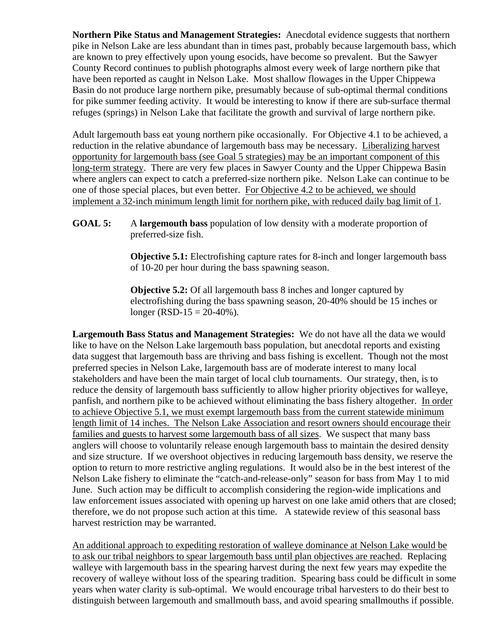**Northern Pike Status and Management Strategies:** Anecdotal evidence suggests that northern pike in Nelson Lake are less abundant than in times past, probably because largemouth bass, which are known to prey effectively upon young esocids, have become so prevalent. But the Sawyer County Record continues to publish photographs almost every week of large northern pike that have been reported as caught in Nelson Lake. Most shallow flowages in the Upper Chippewa Basin do not produce large northern pike, presumably because of sub-optimal thermal conditions for pike summer feeding activity. It would be interesting to know if there are sub-surface thermal refuges (springs) in Nelson Lake that facilitate the growth and survival of large northern pike.

Adult largemouth bass eat young northern pike occasionally. For Objective 4.1 to be achieved, a reduction in the relative abundance of largemouth bass may be necessary. Liberalizing harvest opportunity for largemouth bass (see Goal 5 strategies) may be an important component of this long-term strategy. There are very few places in Sawyer County and the Upper Chippewa Basin where anglers can expect to catch a preferred-size northern pike. Nelson Lake can continue to be one of those special places, but even better. For Objective 4.2 to be achieved, we should implement a 32-inch minimum length limit for northern pike, with reduced daily bag limit of 1.

#### **GOAL 5:** A **largemouth bass** population of low density with a moderate proportion of preferred-size fish.

**Objective 5.1:** Electrofishing capture rates for 8-inch and longer largemouth bass of 10-20 per hour during the bass spawning season.

**Objective 5.2:** Of all largemouth bass 8 inches and longer captured by electrofishing during the bass spawning season, 20-40% should be 15 inches or longer (RSD-15 =  $20-40%$ ).

**Largemouth Bass Status and Management Strategies:** We do not have all the data we would like to have on the Nelson Lake largemouth bass population, but anecdotal reports and existing data suggest that largemouth bass are thriving and bass fishing is excellent. Though not the most preferred species in Nelson Lake, largemouth bass are of moderate interest to many local stakeholders and have been the main target of local club tournaments. Our strategy, then, is to reduce the density of largemouth bass sufficiently to allow higher priority objectives for walleye, panfish, and northern pike to be achieved without eliminating the bass fishery altogether. In order to achieve Objective 5.1, we must exempt largemouth bass from the current statewide minimum length limit of 14 inches. The Nelson Lake Association and resort owners should encourage their families and guests to harvest some largemouth bass of all sizes.We suspect that many bass anglers will choose to voluntarily release enough largemouth bass to maintain the desired density and size structure. If we overshoot objectives in reducing largemouth bass density, we reserve the option to return to more restrictive angling regulations. It would also be in the best interest of the Nelson Lake fishery to eliminate the "catch-and-release-only" season for bass from May 1 to mid June. Such action may be difficult to accomplish considering the region-wide implications and law enforcement issues associated with opening up harvest on one lake amid others that are closed; therefore, we do not propose such action at this time. A statewide review of this seasonal bass harvest restriction may be warranted.

An additional approach to expediting restoration of walleye dominance at Nelson Lake would be to ask our tribal neighbors to spear largemouth bass until plan objectives are reached. Replacing walleye with largemouth bass in the spearing harvest during the next few years may expedite the recovery of walleye without loss of the spearing tradition. Spearing bass could be difficult in some years when water clarity is sub-optimal. We would encourage tribal harvesters to do their best to distinguish between largemouth and smallmouth bass, and avoid spearing smallmouths if possible.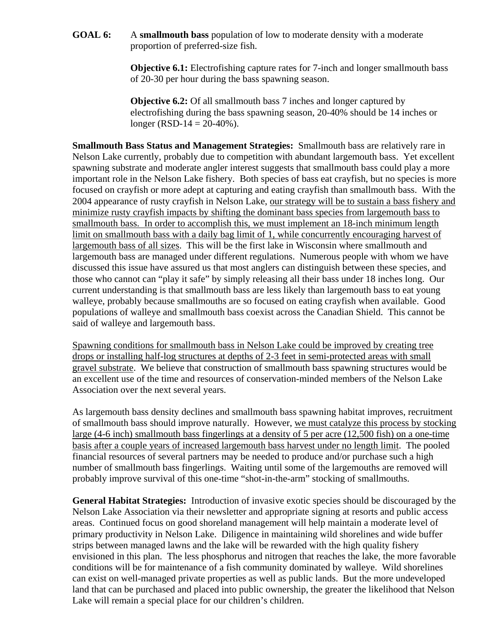**GOAL 6:** A **smallmouth bass** population of low to moderate density with a moderate proportion of preferred-size fish.

> **Objective 6.1:** Electrofishing capture rates for 7-inch and longer smallmouth bass of 20-30 per hour during the bass spawning season.

**Objective 6.2:** Of all smallmouth bass 7 inches and longer captured by electrofishing during the bass spawning season, 20-40% should be 14 inches or longer (RSD-14 =  $20-40%$ ).

**Smallmouth Bass Status and Management Strategies:** Smallmouth bass are relatively rare in Nelson Lake currently, probably due to competition with abundant largemouth bass. Yet excellent spawning substrate and moderate angler interest suggests that smallmouth bass could play a more important role in the Nelson Lake fishery. Both species of bass eat crayfish, but no species is more focused on crayfish or more adept at capturing and eating crayfish than smallmouth bass. With the 2004 appearance of rusty crayfish in Nelson Lake, our strategy will be to sustain a bass fishery and minimize rusty crayfish impacts by shifting the dominant bass species from largemouth bass to smallmouth bass. In order to accomplish this, we must implement an 18-inch minimum length limit on smallmouth bass with a daily bag limit of 1, while concurrently encouraging harvest of largemouth bass of all sizes. This will be the first lake in Wisconsin where smallmouth and largemouth bass are managed under different regulations. Numerous people with whom we have discussed this issue have assured us that most anglers can distinguish between these species, and those who cannot can "play it safe" by simply releasing all their bass under 18 inches long. Our current understanding is that smallmouth bass are less likely than largemouth bass to eat young walleye, probably because smallmouths are so focused on eating crayfish when available. Good populations of walleye and smallmouth bass coexist across the Canadian Shield. This cannot be said of walleye and largemouth bass.

Spawning conditions for smallmouth bass in Nelson Lake could be improved by creating tree drops or installing half-log structures at depths of 2-3 feet in semi-protected areas with small gravel substrate. We believe that construction of smallmouth bass spawning structures would be an excellent use of the time and resources of conservation-minded members of the Nelson Lake Association over the next several years.

As largemouth bass density declines and smallmouth bass spawning habitat improves, recruitment of smallmouth bass should improve naturally. However, we must catalyze this process by stocking large (4-6 inch) smallmouth bass fingerlings at a density of 5 per acre (12,500 fish) on a one-time basis after a couple years of increased largemouth bass harvest under no length limit. The pooled financial resources of several partners may be needed to produce and/or purchase such a high number of smallmouth bass fingerlings. Waiting until some of the largemouths are removed will probably improve survival of this one-time "shot-in-the-arm" stocking of smallmouths.

**General Habitat Strategies:** Introduction of invasive exotic species should be discouraged by the Nelson Lake Association via their newsletter and appropriate signing at resorts and public access areas. Continued focus on good shoreland management will help maintain a moderate level of primary productivity in Nelson Lake. Diligence in maintaining wild shorelines and wide buffer strips between managed lawns and the lake will be rewarded with the high quality fishery envisioned in this plan. The less phosphorus and nitrogen that reaches the lake, the more favorable conditions will be for maintenance of a fish community dominated by walleye. Wild shorelines can exist on well-managed private properties as well as public lands. But the more undeveloped land that can be purchased and placed into public ownership, the greater the likelihood that Nelson Lake will remain a special place for our children's children.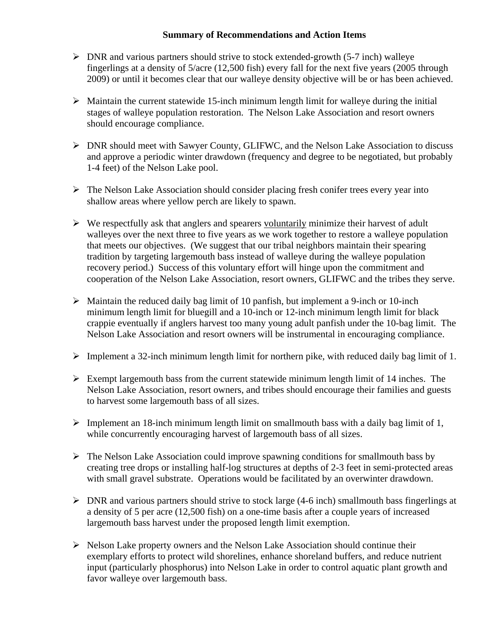#### **Summary of Recommendations and Action Items**

- $\triangleright$  DNR and various partners should strive to stock extended-growth (5-7 inch) walleye fingerlings at a density of 5/acre (12,500 fish) every fall for the next five years (2005 through 2009) or until it becomes clear that our walleye density objective will be or has been achieved.
- $\triangleright$  Maintain the current statewide 15-inch minimum length limit for walleye during the initial stages of walleye population restoration. The Nelson Lake Association and resort owners should encourage compliance.
- ¾ DNR should meet with Sawyer County, GLIFWC, and the Nelson Lake Association to discuss and approve a periodic winter drawdown (frequency and degree to be negotiated, but probably 1-4 feet) of the Nelson Lake pool.
- $\triangleright$  The Nelson Lake Association should consider placing fresh conifer trees every year into shallow areas where yellow perch are likely to spawn.
- $\triangleright$  We respectfully ask that anglers and spearers voluntarily minimize their harvest of adult walleyes over the next three to five years as we work together to restore a walleye population that meets our objectives. (We suggest that our tribal neighbors maintain their spearing tradition by targeting largemouth bass instead of walleye during the walleye population recovery period.) Success of this voluntary effort will hinge upon the commitment and cooperation of the Nelson Lake Association, resort owners, GLIFWC and the tribes they serve.
- $\triangleright$  Maintain the reduced daily bag limit of 10 panfish, but implement a 9-inch or 10-inch minimum length limit for bluegill and a 10-inch or 12-inch minimum length limit for black crappie eventually if anglers harvest too many young adult panfish under the 10-bag limit. The Nelson Lake Association and resort owners will be instrumental in encouraging compliance.
- $\triangleright$  Implement a 32-inch minimum length limit for northern pike, with reduced daily bag limit of 1.
- $\triangleright$  Exempt largemouth bass from the current statewide minimum length limit of 14 inches. The Nelson Lake Association, resort owners, and tribes should encourage their families and guests to harvest some largemouth bass of all sizes.
- $\triangleright$  Implement an 18-inch minimum length limit on smallmouth bass with a daily bag limit of 1, while concurrently encouraging harvest of largemouth bass of all sizes.
- $\triangleright$  The Nelson Lake Association could improve spawning conditions for smallmouth bass by creating tree drops or installing half-log structures at depths of 2-3 feet in semi-protected areas with small gravel substrate. Operations would be facilitated by an overwinter drawdown.
- $\triangleright$  DNR and various partners should strive to stock large (4-6 inch) smallmouth bass fingerlings at a density of 5 per acre (12,500 fish) on a one-time basis after a couple years of increased largemouth bass harvest under the proposed length limit exemption.
- $\triangleright$  Nelson Lake property owners and the Nelson Lake Association should continue their exemplary efforts to protect wild shorelines, enhance shoreland buffers, and reduce nutrient input (particularly phosphorus) into Nelson Lake in order to control aquatic plant growth and favor walleye over largemouth bass.